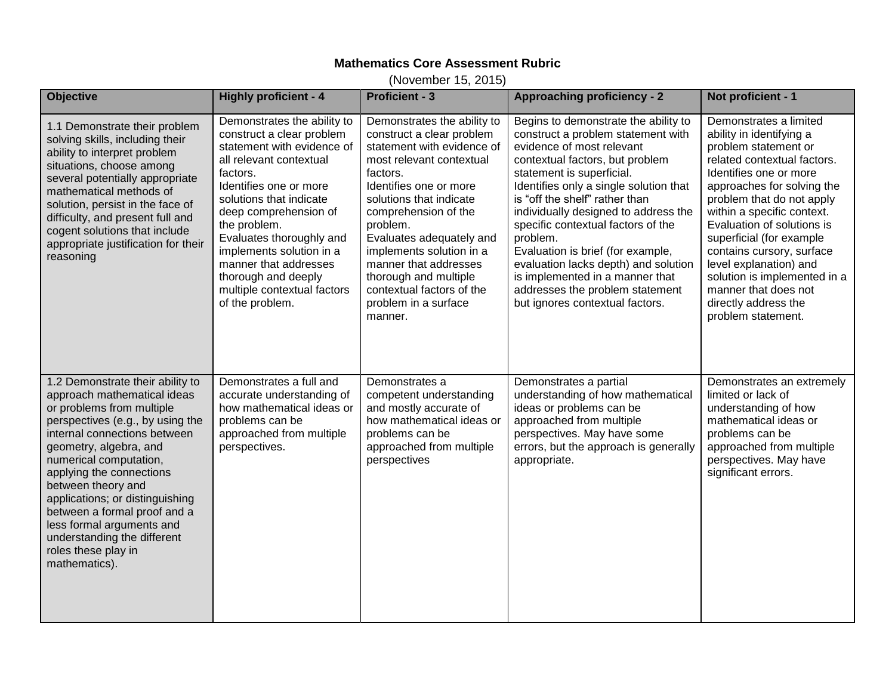## **Mathematics Core Assessment Rubric**

(November 15, 2015)

| <b>Objective</b>                                                                                                                                                                                                                                                                                                                                                                                                                              | <b>Highly proficient - 4</b>                                                                                                                                                                                                                                                                                                                                                          | <b>Proficient - 3</b>                                                                                                                                                                                                                                                                                                                                                                             | <b>Approaching proficiency - 2</b>                                                                                                                                                                                                                                                                                                                                                                                                                                                                                                  | Not proficient - 1                                                                                                                                                                                                                                                                                                                                                                                                                                  |
|-----------------------------------------------------------------------------------------------------------------------------------------------------------------------------------------------------------------------------------------------------------------------------------------------------------------------------------------------------------------------------------------------------------------------------------------------|---------------------------------------------------------------------------------------------------------------------------------------------------------------------------------------------------------------------------------------------------------------------------------------------------------------------------------------------------------------------------------------|---------------------------------------------------------------------------------------------------------------------------------------------------------------------------------------------------------------------------------------------------------------------------------------------------------------------------------------------------------------------------------------------------|-------------------------------------------------------------------------------------------------------------------------------------------------------------------------------------------------------------------------------------------------------------------------------------------------------------------------------------------------------------------------------------------------------------------------------------------------------------------------------------------------------------------------------------|-----------------------------------------------------------------------------------------------------------------------------------------------------------------------------------------------------------------------------------------------------------------------------------------------------------------------------------------------------------------------------------------------------------------------------------------------------|
| 1.1 Demonstrate their problem<br>solving skills, including their<br>ability to interpret problem<br>situations, choose among<br>several potentially appropriate<br>mathematical methods of<br>solution, persist in the face of<br>difficulty, and present full and<br>cogent solutions that include<br>appropriate justification for their<br>reasoning                                                                                       | Demonstrates the ability to<br>construct a clear problem<br>statement with evidence of<br>all relevant contextual<br>factors.<br>Identifies one or more<br>solutions that indicate<br>deep comprehension of<br>the problem.<br>Evaluates thoroughly and<br>implements solution in a<br>manner that addresses<br>thorough and deeply<br>multiple contextual factors<br>of the problem. | Demonstrates the ability to<br>construct a clear problem<br>statement with evidence of<br>most relevant contextual<br>factors.<br>Identifies one or more<br>solutions that indicate<br>comprehension of the<br>problem.<br>Evaluates adequately and<br>implements solution in a<br>manner that addresses<br>thorough and multiple<br>contextual factors of the<br>problem in a surface<br>manner. | Begins to demonstrate the ability to<br>construct a problem statement with<br>evidence of most relevant<br>contextual factors, but problem<br>statement is superficial.<br>Identifies only a single solution that<br>is "off the shelf" rather than<br>individually designed to address the<br>specific contextual factors of the<br>problem.<br>Evaluation is brief (for example,<br>evaluation lacks depth) and solution<br>is implemented in a manner that<br>addresses the problem statement<br>but ignores contextual factors. | Demonstrates a limited<br>ability in identifying a<br>problem statement or<br>related contextual factors.<br>Identifies one or more<br>approaches for solving the<br>problem that do not apply<br>within a specific context.<br>Evaluation of solutions is<br>superficial (for example<br>contains cursory, surface<br>level explanation) and<br>solution is implemented in a<br>manner that does not<br>directly address the<br>problem statement. |
| 1.2 Demonstrate their ability to<br>approach mathematical ideas<br>or problems from multiple<br>perspectives (e.g., by using the<br>internal connections between<br>geometry, algebra, and<br>numerical computation,<br>applying the connections<br>between theory and<br>applications; or distinguishing<br>between a formal proof and a<br>less formal arguments and<br>understanding the different<br>roles these play in<br>mathematics). | Demonstrates a full and<br>accurate understanding of<br>how mathematical ideas or<br>problems can be<br>approached from multiple<br>perspectives.                                                                                                                                                                                                                                     | Demonstrates a<br>competent understanding<br>and mostly accurate of<br>how mathematical ideas or<br>problems can be<br>approached from multiple<br>perspectives                                                                                                                                                                                                                                   | Demonstrates a partial<br>understanding of how mathematical<br>ideas or problems can be<br>approached from multiple<br>perspectives. May have some<br>errors, but the approach is generally<br>appropriate.                                                                                                                                                                                                                                                                                                                         | Demonstrates an extremely<br>limited or lack of<br>understanding of how<br>mathematical ideas or<br>problems can be<br>approached from multiple<br>perspectives. May have<br>significant errors.                                                                                                                                                                                                                                                    |